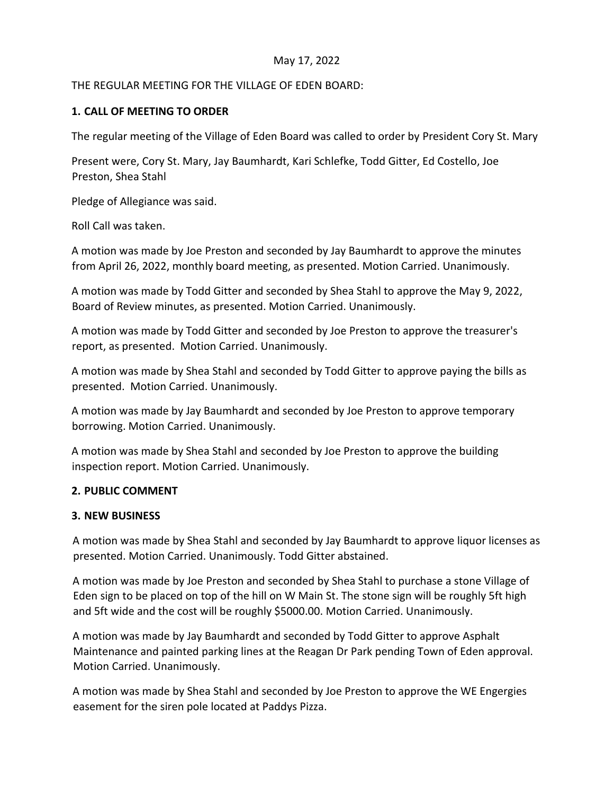# May 17, 2022

## THE REGULAR MEETING FOR THE VILLAGE OF EDEN BOARD:

# **1. CALL OF MEETING TO ORDER**

The regular meeting of the Village of Eden Board was called to order by President Cory St. Mary

Present were, Cory St. Mary, Jay Baumhardt, Kari Schlefke, Todd Gitter, Ed Costello, Joe Preston, Shea Stahl

Pledge of Allegiance was said.

Roll Call was taken.

A motion was made by Joe Preston and seconded by Jay Baumhardt to approve the minutes from April 26, 2022, monthly board meeting, as presented. Motion Carried. Unanimously.

A motion was made by Todd Gitter and seconded by Shea Stahl to approve the May 9, 2022, Board of Review minutes, as presented. Motion Carried. Unanimously.

A motion was made by Todd Gitter and seconded by Joe Preston to approve the treasurer's report, as presented. Motion Carried. Unanimously.

A motion was made by Shea Stahl and seconded by Todd Gitter to approve paying the bills as presented. Motion Carried. Unanimously.

A motion was made by Jay Baumhardt and seconded by Joe Preston to approve temporary borrowing. Motion Carried. Unanimously.

A motion was made by Shea Stahl and seconded by Joe Preston to approve the building inspection report. Motion Carried. Unanimously.

# **2. PUBLIC COMMENT**

#### **3. NEW BUSINESS**

A motion was made by Shea Stahl and seconded by Jay Baumhardt to approve liquor licenses as presented. Motion Carried. Unanimously. Todd Gitter abstained.

A motion was made by Joe Preston and seconded by Shea Stahl to purchase a stone Village of Eden sign to be placed on top of the hill on W Main St. The stone sign will be roughly 5ft high and 5ft wide and the cost will be roughly \$5000.00. Motion Carried. Unanimously.

A motion was made by Jay Baumhardt and seconded by Todd Gitter to approve Asphalt Maintenance and painted parking lines at the Reagan Dr Park pending Town of Eden approval. Motion Carried. Unanimously.

A motion was made by Shea Stahl and seconded by Joe Preston to approve the WE Engergies easement for the siren pole located at Paddys Pizza.